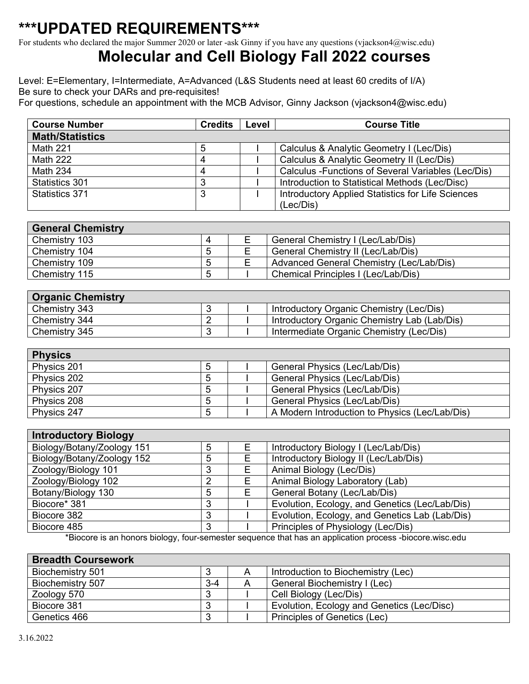## **\*\*\*UPDATED REQUIREMENTS\*\*\***

For students who declared the major Summer 2020 or later -ask Ginny if you have any questions (vjackson4@wisc.edu)

## **Molecular and Cell Biology Fall 2022 courses**

Level: E=Elementary, I=Intermediate, A=Advanced (L&S Students need at least 60 credits of I/A) Be sure to check your DARs and pre-requisites!

For questions, schedule an appointment with the MCB Advisor, Ginny Jackson (vjackson4@wisc.edu)

| <b>Course Number</b>   | <b>Credits</b> | Level | <b>Course Title</b>                                 |
|------------------------|----------------|-------|-----------------------------------------------------|
| <b>Math/Statistics</b> |                |       |                                                     |
| Math 221               |                |       | Calculus & Analytic Geometry I (Lec/Dis)            |
| <b>Math 222</b>        |                |       | Calculus & Analytic Geometry II (Lec/Dis)           |
| <b>Math 234</b>        |                |       | Calculus - Functions of Several Variables (Lec/Dis) |
| Statistics 301         |                |       | Introduction to Statistical Methods (Lec/Disc)      |
| Statistics 371         |                |       | Introductory Applied Statistics for Life Sciences   |
|                        |                |       | (Lec/Dis)                                           |

| <b>General Chemistry</b> |   |                                          |
|--------------------------|---|------------------------------------------|
| Chemistry 103            |   | General Chemistry I (Lec/Lab/Dis)        |
| Chemistry 104            |   | General Chemistry II (Lec/Lab/Dis)       |
| Chemistry 109            |   | Advanced General Chemistry (Lec/Lab/Dis) |
| Chemistry 115            | G | Chemical Principles I (Lec/Lab/Dis)      |

| <b>Organic Chemistry</b> |  |                                              |
|--------------------------|--|----------------------------------------------|
| Chemistry 343            |  | Introductory Organic Chemistry (Lec/Dis)     |
| Chemistry 344            |  | Introductory Organic Chemistry Lab (Lab/Dis) |
| Chemistry 345            |  | Intermediate Organic Chemistry (Lec/Dis)     |

| <b>Physics</b> |   |                                                |
|----------------|---|------------------------------------------------|
| Physics 201    |   | General Physics (Lec/Lab/Dis)                  |
| Physics 202    | G | General Physics (Lec/Lab/Dis)                  |
| Physics 207    | ა | General Physics (Lec/Lab/Dis)                  |
| Physics 208    | 5 | General Physics (Lec/Lab/Dis)                  |
| Physics 247    |   | A Modern Introduction to Physics (Lec/Lab/Dis) |

| <b>Introductory Biology</b> |   |   |                                                |  |  |  |
|-----------------------------|---|---|------------------------------------------------|--|--|--|
| Biology/Botany/Zoology 151  | 5 |   | Introductory Biology I (Lec/Lab/Dis)           |  |  |  |
| Biology/Botany/Zoology 152  | 5 |   | Introductory Biology II (Lec/Lab/Dis)          |  |  |  |
| Zoology/Biology 101         | 3 |   | Animal Biology (Lec/Dis)                       |  |  |  |
| Zoology/Biology 102         | າ |   | Animal Biology Laboratory (Lab)                |  |  |  |
| Botany/Biology 130          | 5 | F | General Botany (Lec/Lab/Dis)                   |  |  |  |
| Biocore* 381                | 3 |   | Evolution, Ecology, and Genetics (Lec/Lab/Dis) |  |  |  |
| Biocore 382                 | 3 |   | Evolution, Ecology, and Genetics Lab (Lab/Dis) |  |  |  |
| Biocore 485                 | 3 |   | Principles of Physiology (Lec/Dis)             |  |  |  |

\*Biocore is an honors biology, four-semester sequence that has an application process -biocore.wisc.edu

| <b>Breadth Coursework</b> |       |   |                                            |
|---------------------------|-------|---|--------------------------------------------|
| Biochemistry 501          |       | A | Introduction to Biochemistry (Lec)         |
| Biochemistry 507          | $3-4$ | A | General Biochemistry I (Lec)               |
| Zoology 570               | 3     |   | Cell Biology (Lec/Dis)                     |
| Biocore 381               | 3     |   | Evolution, Ecology and Genetics (Lec/Disc) |
| Genetics 466              | 3     |   | Principles of Genetics (Lec)               |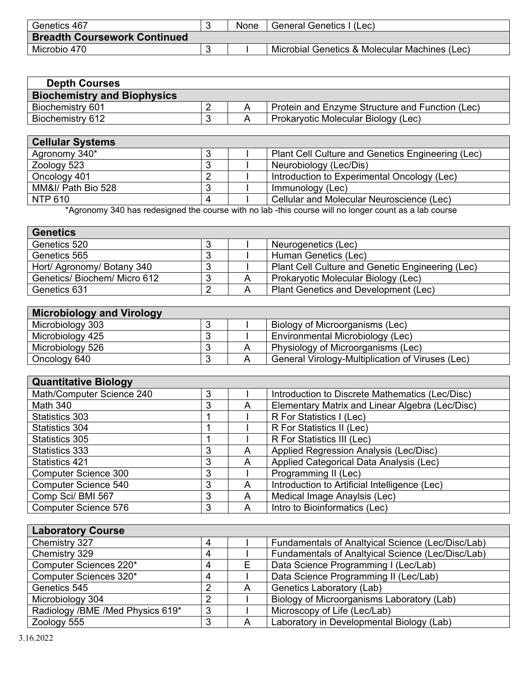| Genetics 467                        | None | General Genetics I<br>(Lec)                   |
|-------------------------------------|------|-----------------------------------------------|
| <b>Breadth Coursework Continued</b> |      |                                               |
| Microbio 470                        |      | Microbial Genetics & Molecular Machines (Lec) |

| <b>Depth Courses</b>               |  |                                                 |
|------------------------------------|--|-------------------------------------------------|
| <b>Biochemistry and Biophysics</b> |  |                                                 |
| Biochemistry 601                   |  | Protein and Enzyme Structure and Function (Lec) |
| Biochemistry 612                   |  | Prokaryotic Molecular Biology (Lec)             |

| <b>Cellular Systems</b> |  |                                                   |
|-------------------------|--|---------------------------------------------------|
| Agronomy 340*           |  | Plant Cell Culture and Genetics Engineering (Lec) |
| Zoology 523             |  | Neurobiology (Lec/Dis)                            |
| Oncology 401            |  | Introduction to Experimental Oncology (Lec)       |
| MM&I/ Path Bio 528      |  | Immunology (Lec)                                  |
| <b>NTP 610</b>          |  | Cellular and Molecular Neuroscience (Lec)         |

\*Agronomy 340 has redesigned the course with no lab -this course will no longer count as a lab course

| <b>Genetics</b>              |  |                                                  |
|------------------------------|--|--------------------------------------------------|
| Genetics 520                 |  | Neurogenetics (Lec)                              |
| Genetics 565                 |  | Human Genetics (Lec)                             |
| Hort/ Agronomy/ Botany 340   |  | Plant Cell Culture and Genetic Engineering (Lec) |
| Genetics/ Biochem/ Micro 612 |  | Prokaryotic Molecular Biology (Lec)              |
| Genetics 631                 |  | Plant Genetics and Development (Lec)             |

|  | <b>Microbiology and Virology</b> |  |
|--|----------------------------------|--|
|  |                                  |  |

| ___              |  |                                                  |
|------------------|--|--------------------------------------------------|
| Microbiology 303 |  | Biology of Microorganisms (Lec)                  |
| Microbiology 425 |  | Environmental Microbiology (Lec)                 |
| Microbiology 526 |  | Physiology of Microorganisms (Lec)               |
| Oncology 640     |  | General Virology-Multiplication of Viruses (Lec) |

| <b>Quantitative Biology</b> |   |   |                                                 |
|-----------------------------|---|---|-------------------------------------------------|
| Math/Computer Science 240   | 3 |   | Introduction to Discrete Mathematics (Lec/Disc) |
| <b>Math 340</b>             | 3 |   | Elementary Matrix and Linear Algebra (Lec/Disc) |
| Statistics 303              |   |   | R For Statistics I (Lec)                        |
| Statistics 304              |   |   | R For Statistics II (Lec)                       |
| Statistics 305              |   |   | R For Statistics III (Lec)                      |
| Statistics 333              | 3 | A | Applied Regression Analysis (Lec/Disc)          |
| <b>Statistics 421</b>       | 3 | A | Applied Categorical Data Analysis (Lec)         |
| <b>Computer Science 300</b> | 3 |   | Programming II (Lec)                            |
| <b>Computer Science 540</b> | 3 | А | Introduction to Artificial Intelligence (Lec)   |
| Comp Sci/BMI 567            | 3 | A | Medical Image Anaylsis (Lec)                    |
| <b>Computer Science 576</b> | 3 | А | Intro to Bioinformatics (Lec)                   |

| <b>Laboratory Course</b>         |   |   |                                                   |  |
|----------------------------------|---|---|---------------------------------------------------|--|
| Chemistry 327                    |   |   | Fundamentals of Analtyical Science (Lec/Disc/Lab) |  |
| Chemistry 329                    |   |   | Fundamentals of Analtyical Science (Lec/Disc/Lab) |  |
| Computer Sciences 220*           | 4 |   | Data Science Programming I (Lec/Lab)              |  |
| Computer Sciences 320*           |   |   | Data Science Programming II (Lec/Lab)             |  |
| Genetics 545                     | າ | A | Genetics Laboratory (Lab)                         |  |
| Microbiology 304                 | ◠ |   | Biology of Microorganisms Laboratory (Lab)        |  |
| Radiology /BME /Med Physics 619* | 3 |   | Microscopy of Life (Lec/Lab)                      |  |
| Zoology 555                      |   |   | Laboratory in Developmental Biology (Lab)         |  |